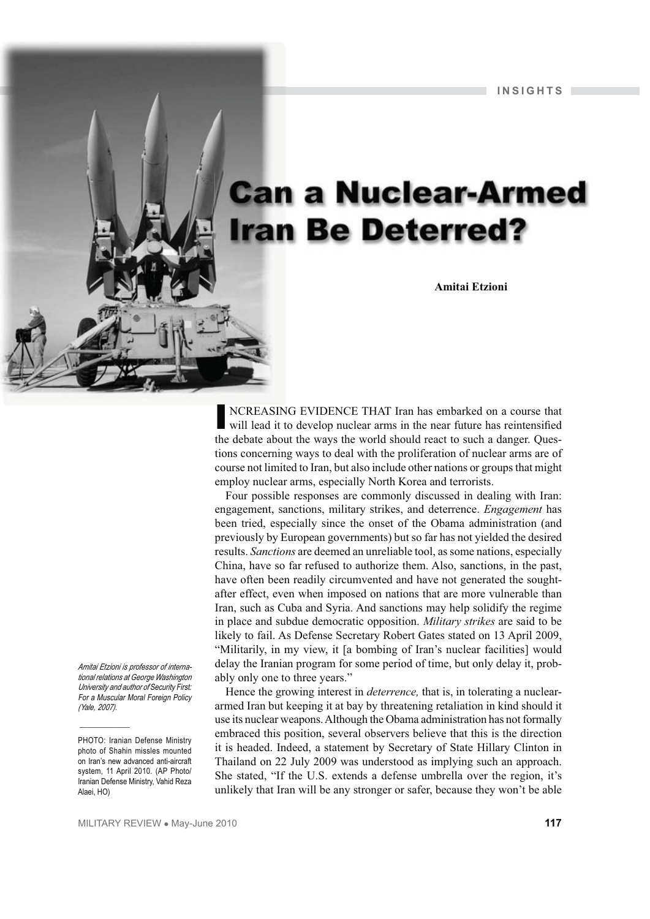# **Can a Nuclear-Armed Iran Be Deterred?**

#### **Amitai Etzioni**

INCREASING EVIDENCE THAT Iran has embarked on a course that will lead it to develop nuclear arms in the near future has reintensified the debate about the ways the world should react to such a danger. Questions concerning ways to deal with the proliferation of nuclear arms are of course not limited to Iran, but also include other nations or groups that might employ nuclear arms, especially North Korea and terrorists.

Four possible responses are commonly discussed in dealing with Iran: engagement, sanctions, military strikes, and deterrence. *Engagement* has been tried, especially since the onset of the Obama administration (and previously by European governments) but so far has not yielded the desired results. *Sanctions* are deemed an unreliable tool, as some nations, especially China, have so far refused to authorize them. Also, sanctions, in the past, have often been readily circumvented and have not generated the soughtafter effect, even when imposed on nations that are more vulnerable than Iran, such as Cuba and Syria. And sanctions may help solidify the regime in place and subdue democratic opposition. *Military strikes* are said to be likely to fail. As Defense Secretary Robert Gates stated on 13 April 2009, "Militarily, in my view, it [a bombing of Iran's nuclear facilities] would delay the Iranian program for some period of time, but only delay it, probably only one to three years."

Hence the growing interest in *deterrence,* that is, in tolerating a nucleararmed Iran but keeping it at bay by threatening retaliation in kind should it use its nuclear weapons. Although the Obama administration has not formally embraced this position, several observers believe that this is the direction it is headed. Indeed, a statement by Secretary of State Hillary Clinton in Thailand on 22 July 2009 was understood as implying such an approach. She stated, "If the U.S. extends a defense umbrella over the region, it's unlikely that Iran will be any stronger or safer, because they won't be able

*Amitai Etzioni is professor of international relations at George Washington University and author of* Security First: For a Muscular Moral Foreign Policy *(Yale, 2007).* 

\_\_\_\_\_\_\_\_\_\_\_\_\_

PHOTO: Iranian Defense Ministry photo of Shahin missles mounted on Iran's new advanced anti-aircraft system, 11 April 2010. (AP Photo/ Iranian Defense Ministry, Vahid Reza Alaei, HO)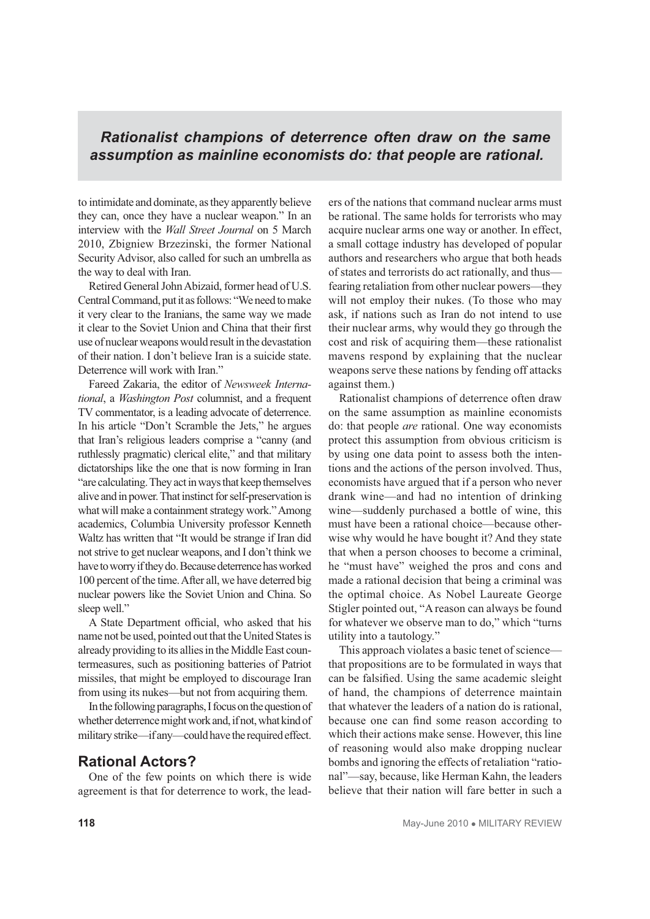# *Rationalist champions of deterrence often draw on the same assumption as mainline economists do: that people* **are** *rational.*

to intimidate and dominate, as they apparently believe they can, once they have a nuclear weapon." In an interview with the *Wall Street Journal* on 5 March 2010, Zbigniew Brzezinski, the former National Security Advisor, also called for such an umbrella as the way to deal with Iran.

Retired General John Abizaid, former head of U.S. Central Command, put it as follows: "We need to make it very clear to the Iranians, the same way we made it clear to the Soviet Union and China that their first use of nuclear weapons would result in the devastation of their nation. I don't believe Iran is a suicide state. Deterrence will work with Iran."

Fareed Zakaria, the editor of *Newsweek International*, a *Washington Post* columnist, and a frequent TV commentator, is a leading advocate of deterrence. In his article "Don't Scramble the Jets," he argues that Iran's religious leaders comprise a "canny (and ruthlessly pragmatic) clerical elite," and that military dictatorships like the one that is now forming in Iran "are calculating. They act in ways that keep themselves alive and in power. That instinct for self-preservation is what will make a containment strategy work." Among academics, Columbia University professor Kenneth Waltz has written that "It would be strange if Iran did not strive to get nuclear weapons, and I don't think we have to worry if they do. Because deterrence has worked 100 percent of the time. After all, we have deterred big nuclear powers like the Soviet Union and China. So sleep well."

A State Department official, who asked that his name not be used, pointed out that the United States is already providing to its allies in the Middle East countermeasures, such as positioning batteries of Patriot missiles, that might be employed to discourage Iran from using its nukes—but not from acquiring them.

In the following paragraphs, I focus on the question of whether deterrence might work and, if not, what kind of military strike—if any—could have the required effect.

#### **Rational Actors?**

One of the few points on which there is wide agreement is that for deterrence to work, the leaders of the nations that command nuclear arms must be rational. The same holds for terrorists who may acquire nuclear arms one way or another. In effect, a small cottage industry has developed of popular authors and researchers who argue that both heads of states and terrorists do act rationally, and thus fearing retaliation from other nuclear powers—they will not employ their nukes. (To those who may ask, if nations such as Iran do not intend to use their nuclear arms, why would they go through the cost and risk of acquiring them—these rationalist mavens respond by explaining that the nuclear weapons serve these nations by fending off attacks against them.)

Rationalist champions of deterrence often draw on the same assumption as mainline economists do: that people *are* rational. One way economists protect this assumption from obvious criticism is by using one data point to assess both the intentions and the actions of the person involved. Thus, economists have argued that if a person who never drank wine—and had no intention of drinking wine—suddenly purchased a bottle of wine, this must have been a rational choice—because otherwise why would he have bought it? And they state that when a person chooses to become a criminal, he "must have" weighed the pros and cons and made a rational decision that being a criminal was the optimal choice. As Nobel Laureate George Stigler pointed out, "A reason can always be found for whatever we observe man to do," which "turns utility into a tautology."

This approach violates a basic tenet of science that propositions are to be formulated in ways that can be falsified. Using the same academic sleight of hand, the champions of deterrence maintain that whatever the leaders of a nation do is rational, because one can find some reason according to which their actions make sense. However, this line of reasoning would also make dropping nuclear bombs and ignoring the effects of retaliation "rational"—say, because, like Herman Kahn, the leaders believe that their nation will fare better in such a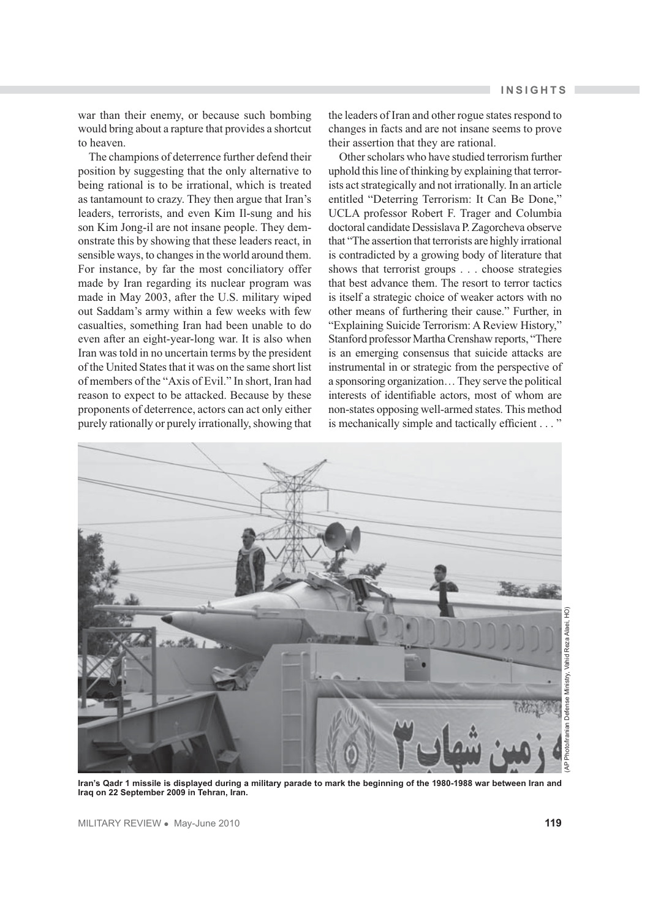war than their enemy, or because such bombing would bring about a rapture that provides a shortcut to heaven.

The champions of deterrence further defend their position by suggesting that the only alternative to being rational is to be irrational, which is treated as tantamount to crazy. They then argue that Iran's leaders, terrorists, and even Kim Il-sung and his son Kim Jong-il are not insane people. They demonstrate this by showing that these leaders react, in sensible ways, to changes in the world around them. For instance, by far the most conciliatory offer made by Iran regarding its nuclear program was made in May 2003, after the U.S. military wiped out Saddam's army within a few weeks with few casualties, something Iran had been unable to do even after an eight-year-long war. It is also when Iran was told in no uncertain terms by the president of the United States that it was on the same short list of members of the "Axis of Evil." In short, Iran had reason to expect to be attacked. Because by these proponents of deterrence, actors can act only either purely rationally or purely irrationally, showing that the leaders of Iran and other rogue states respond to changes in facts and are not insane seems to prove their assertion that they are rational.

Other scholars who have studied terrorism further uphold this line of thinking by explaining that terrorists act strategically and not irrationally. In an article entitled "Deterring Terrorism: It Can Be Done," UCLA professor Robert F. Trager and Columbia doctoral candidate Dessislava P. Zagorcheva observe that "The assertion that terrorists are highly irrational is contradicted by a growing body of literature that shows that terrorist groups . . . choose strategies that best advance them. The resort to terror tactics is itself a strategic choice of weaker actors with no other means of furthering their cause." Further, in "Explaining Suicide Terrorism: A Review History," Stanford professor Martha Crenshaw reports, "There is an emerging consensus that suicide attacks are instrumental in or strategic from the perspective of a sponsoring organization… They serve the political interests of identifiable actors, most of whom are non-states opposing well-armed states. This method is mechanically simple and tactically efficient . . . "



**Iran's Qadr 1 missile is displayed during a military parade to mark the beginning of the 1980-1988 war between Iran and Iraq on 22 September 2009 in Tehran, Iran.**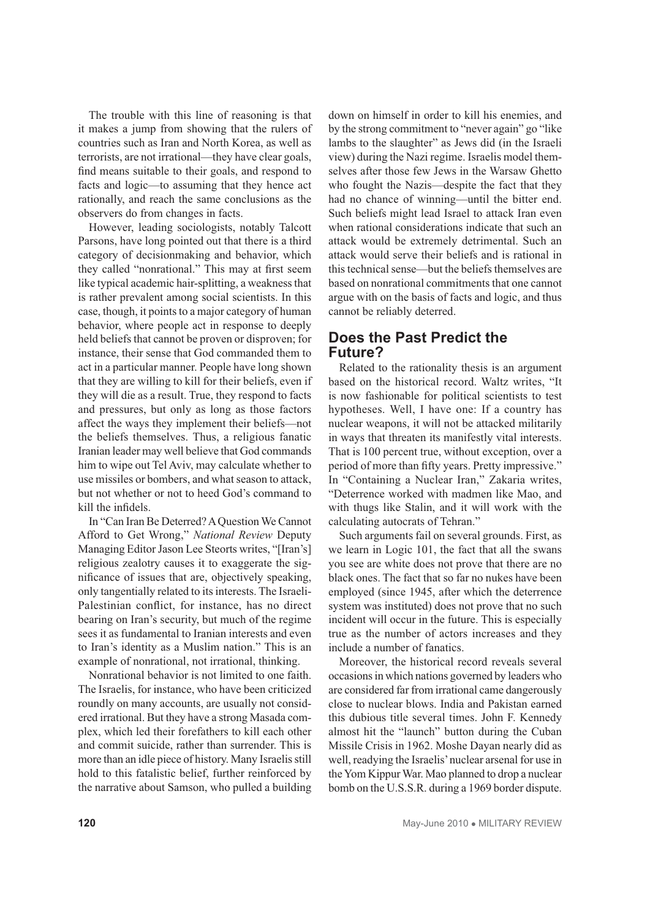The trouble with this line of reasoning is that it makes a jump from showing that the rulers of countries such as Iran and North Korea, as well as terrorists, are not irrational—they have clear goals, find means suitable to their goals, and respond to facts and logic—to assuming that they hence act rationally, and reach the same conclusions as the observers do from changes in facts.

However, leading sociologists, notably Talcott Parsons, have long pointed out that there is a third category of decisionmaking and behavior, which they called "nonrational." This may at first seem like typical academic hair-splitting, a weakness that is rather prevalent among social scientists. In this case, though, it points to a major category of human behavior, where people act in response to deeply held beliefs that cannot be proven or disproven; for instance, their sense that God commanded them to act in a particular manner. People have long shown that they are willing to kill for their beliefs, even if they will die as a result. True, they respond to facts and pressures, but only as long as those factors affect the ways they implement their beliefs—not the beliefs themselves. Thus, a religious fanatic Iranian leader may well believe that God commands him to wipe out Tel Aviv, may calculate whether to use missiles or bombers, and what season to attack, but not whether or not to heed God's command to kill the infidels.

In "Can Iran Be Deterred? A Question We Cannot Afford to Get Wrong," *National Review* Deputy Managing Editor Jason Lee Steorts writes, "[Iran's] religious zealotry causes it to exaggerate the significance of issues that are, objectively speaking, only tangentially related to its interests. The Israeli-Palestinian conflict, for instance, has no direct bearing on Iran's security, but much of the regime sees it as fundamental to Iranian interests and even to Iran's identity as a Muslim nation." This is an example of nonrational, not irrational, thinking.

Nonrational behavior is not limited to one faith. The Israelis, for instance, who have been criticized roundly on many accounts, are usually not considered irrational. But they have a strong Masada complex, which led their forefathers to kill each other and commit suicide, rather than surrender. This is more than an idle piece of history. Many Israelis still hold to this fatalistic belief, further reinforced by the narrative about Samson, who pulled a building

down on himself in order to kill his enemies, and by the strong commitment to "never again" go "like lambs to the slaughter" as Jews did (in the Israeli view) during the Nazi regime. Israelis model themselves after those few Jews in the Warsaw Ghetto who fought the Nazis—despite the fact that they had no chance of winning—until the bitter end. Such beliefs might lead Israel to attack Iran even when rational considerations indicate that such an attack would be extremely detrimental. Such an attack would serve their beliefs and is rational in this technical sense—but the beliefs themselves are based on nonrational commitments that one cannot argue with on the basis of facts and logic, and thus cannot be reliably deterred.

# **Does the Past Predict the Future?**

Related to the rationality thesis is an argument based on the historical record. Waltz writes, "It is now fashionable for political scientists to test hypotheses. Well, I have one: If a country has nuclear weapons, it will not be attacked militarily in ways that threaten its manifestly vital interests. That is 100 percent true, without exception, over a period of more than fifty years. Pretty impressive." In "Containing a Nuclear Iran," Zakaria writes, "Deterrence worked with madmen like Mao, and with thugs like Stalin, and it will work with the calculating autocrats of Tehran."

Such arguments fail on several grounds. First, as we learn in Logic 101, the fact that all the swans you see are white does not prove that there are no black ones. The fact that so far no nukes have been employed (since 1945, after which the deterrence system was instituted) does not prove that no such incident will occur in the future. This is especially true as the number of actors increases and they include a number of fanatics.

Moreover, the historical record reveals several occasions in which nations governed by leaders who are considered far from irrational came dangerously close to nuclear blows. India and Pakistan earned this dubious title several times. John F. Kennedy almost hit the "launch" button during the Cuban Missile Crisis in 1962. Moshe Dayan nearly did as well, readying the Israelis' nuclear arsenal for use in the Yom Kippur War. Mao planned to drop a nuclear bomb on the U.S.S.R. during a 1969 border dispute.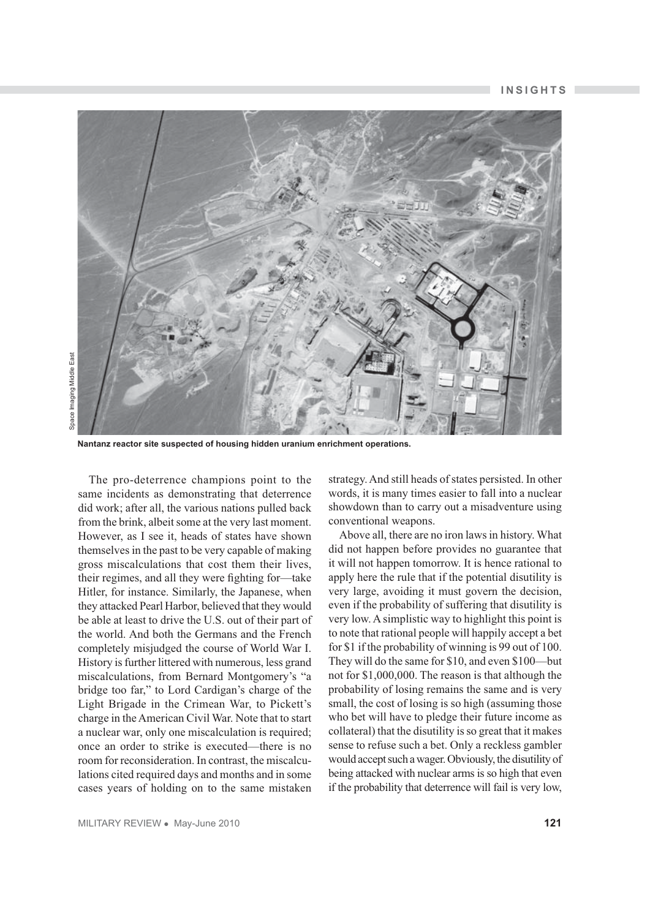

Space Imaging Middle East Space Imaging Middle East

**Nantanz reactor site suspected of housing hidden uranium enrichment operations.**

The pro-deterrence champions point to the same incidents as demonstrating that deterrence did work; after all, the various nations pulled back from the brink, albeit some at the very last moment. However, as I see it, heads of states have shown themselves in the past to be very capable of making gross miscalculations that cost them their lives, their regimes, and all they were fighting for-take Hitler, for instance. Similarly, the Japanese, when they attacked Pearl Harbor, believed that they would be able at least to drive the U.S. out of their part of the world. And both the Germans and the French completely misjudged the course of World War I. History is further littered with numerous, less grand miscalculations, from Bernard Montgomery's "a bridge too far," to Lord Cardigan's charge of the Light Brigade in the Crimean War, to Pickett's charge in the American Civil War. Note that to start a nuclear war, only one miscalculation is required; once an order to strike is executed—there is no room for reconsideration. In contrast, the miscalculations cited required days and months and in some cases years of holding on to the same mistaken

strategy. And still heads of states persisted. In other words, it is many times easier to fall into a nuclear showdown than to carry out a misadventure using conventional weapons.

Above all, there are no iron laws in history. What did not happen before provides no guarantee that it will not happen tomorrow. It is hence rational to apply here the rule that if the potential disutility is very large, avoiding it must govern the decision, even if the probability of suffering that disutility is very low. A simplistic way to highlight this point is to note that rational people will happily accept a bet for \$1 if the probability of winning is 99 out of 100. They will do the same for \$10, and even \$100—but not for \$1,000,000. The reason is that although the probability of losing remains the same and is very small, the cost of losing is so high (assuming those who bet will have to pledge their future income as collateral) that the disutility is so great that it makes sense to refuse such a bet. Only a reckless gambler would accept such a wager. Obviously, the disutility of being attacked with nuclear arms is so high that even if the probability that deterrence will fail is very low,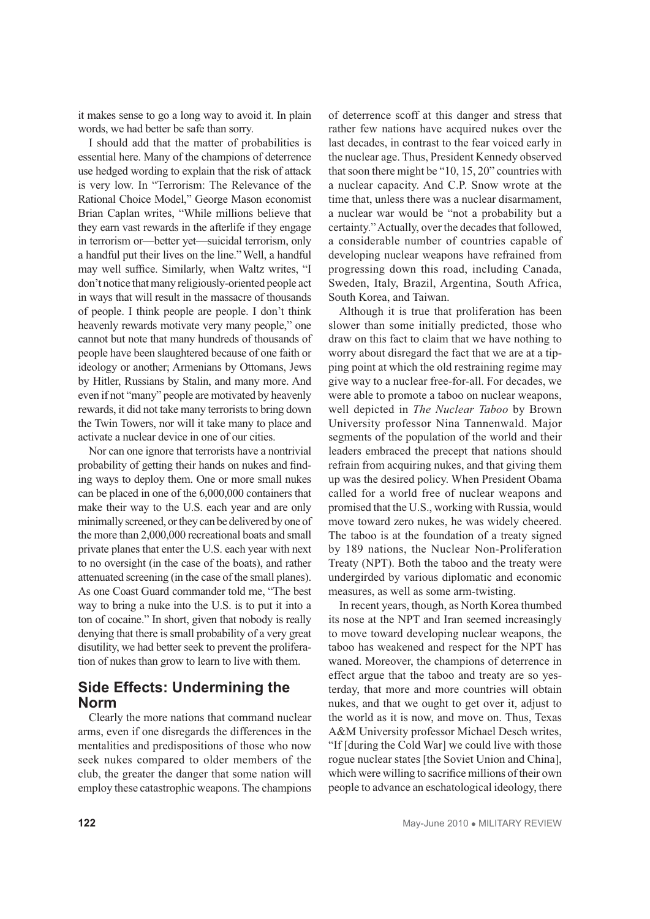it makes sense to go a long way to avoid it. In plain words, we had better be safe than sorry.

I should add that the matter of probabilities is essential here. Many of the champions of deterrence use hedged wording to explain that the risk of attack is very low. In "Terrorism: The Relevance of the Rational Choice Model," George Mason economist Brian Caplan writes, "While millions believe that they earn vast rewards in the afterlife if they engage in terrorism or—better yet—suicidal terrorism, only a handful put their lives on the line."Well, a handful may well suffice. Similarly, when Waltz writes, "I don't notice that many religiously-oriented people act in ways that will result in the massacre of thousands of people. I think people are people. I don't think heavenly rewards motivate very many people," one cannot but note that many hundreds of thousands of people have been slaughtered because of one faith or ideology or another; Armenians by Ottomans, Jews by Hitler, Russians by Stalin, and many more. And even if not "many" people are motivated by heavenly rewards, it did not take many terrorists to bring down the Twin Towers, nor will it take many to place and activate a nuclear device in one of our cities.

Nor can one ignore that terrorists have a nontrivial probability of getting their hands on nukes and finding ways to deploy them. One or more small nukes can be placed in one of the 6,000,000 containers that make their way to the U.S. each year and are only minimally screened, or they can be delivered by one of the more than 2,000,000 recreational boats and small private planes that enter the U.S. each year with next to no oversight (in the case of the boats), and rather attenuated screening (in the case of the small planes). As one Coast Guard commander told me, "The best way to bring a nuke into the U.S. is to put it into a ton of cocaine." In short, given that nobody is really denying that there is small probability of a very great disutility, we had better seek to prevent the proliferation of nukes than grow to learn to live with them.

# **Side Effects: Undermining the Norm**

Clearly the more nations that command nuclear arms, even if one disregards the differences in the mentalities and predispositions of those who now seek nukes compared to older members of the club, the greater the danger that some nation will employ these catastrophic weapons. The champions of deterrence scoff at this danger and stress that rather few nations have acquired nukes over the last decades, in contrast to the fear voiced early in the nuclear age. Thus, President Kennedy observed that soon there might be "10, 15, 20" countries with a nuclear capacity. And C.P. Snow wrote at the time that, unless there was a nuclear disarmament, a nuclear war would be "not a probability but a certainty." Actually, over the decades that followed, a considerable number of countries capable of developing nuclear weapons have refrained from progressing down this road, including Canada, Sweden, Italy, Brazil, Argentina, South Africa, South Korea, and Taiwan.

Although it is true that proliferation has been slower than some initially predicted, those who draw on this fact to claim that we have nothing to worry about disregard the fact that we are at a tipping point at which the old restraining regime may give way to a nuclear free-for-all. For decades, we were able to promote a taboo on nuclear weapons, well depicted in *The Nuclear Taboo* by Brown University professor Nina Tannenwald. Major segments of the population of the world and their leaders embraced the precept that nations should refrain from acquiring nukes, and that giving them up was the desired policy. When President Obama called for a world free of nuclear weapons and promised that the U.S., working with Russia, would move toward zero nukes, he was widely cheered. The taboo is at the foundation of a treaty signed by 189 nations, the Nuclear Non-Proliferation Treaty (NPT). Both the taboo and the treaty were undergirded by various diplomatic and economic measures, as well as some arm-twisting.

In recent years, though, as North Korea thumbed its nose at the NPT and Iran seemed increasingly to move toward developing nuclear weapons, the taboo has weakened and respect for the NPT has waned. Moreover, the champions of deterrence in effect argue that the taboo and treaty are so yesterday, that more and more countries will obtain nukes, and that we ought to get over it, adjust to the world as it is now, and move on. Thus, Texas A&M University professor Michael Desch writes, "If [during the Cold War] we could live with those rogue nuclear states [the Soviet Union and China], which were willing to sacrifice millions of their own people to advance an eschatological ideology, there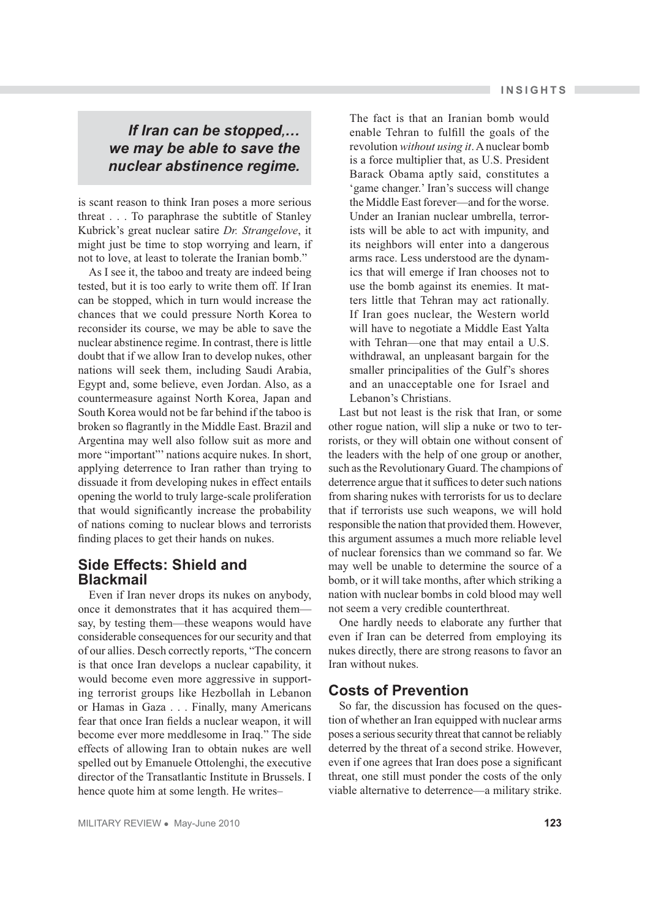# *If Iran can be stopped,… we may be able to save the nuclear abstinence regime.*

is scant reason to think Iran poses a more serious threat . . . To paraphrase the subtitle of Stanley Kubrick's great nuclear satire *Dr. Strangelove*, it might just be time to stop worrying and learn, if not to love, at least to tolerate the Iranian bomb."

As I see it, the taboo and treaty are indeed being tested, but it is too early to write them off. If Iran can be stopped, which in turn would increase the chances that we could pressure North Korea to reconsider its course, we may be able to save the nuclear abstinence regime. In contrast, there is little doubt that if we allow Iran to develop nukes, other nations will seek them, including Saudi Arabia, Egypt and, some believe, even Jordan. Also, as a countermeasure against North Korea, Japan and South Korea would not be far behind if the taboo is broken so flagrantly in the Middle East. Brazil and Argentina may well also follow suit as more and more "important"' nations acquire nukes. In short, applying deterrence to Iran rather than trying to dissuade it from developing nukes in effect entails opening the world to truly large-scale proliferation that would significantly increase the probability of nations coming to nuclear blows and terrorists finding places to get their hands on nukes.

# **Side Effects: Shield and Blackmail**

Even if Iran never drops its nukes on anybody, once it demonstrates that it has acquired them say, by testing them—these weapons would have considerable consequences for our security and that of our allies. Desch correctly reports, "The concern is that once Iran develops a nuclear capability, it would become even more aggressive in supporting terrorist groups like Hezbollah in Lebanon or Hamas in Gaza . . . Finally, many Americans fear that once Iran fields a nuclear weapon, it will become ever more meddlesome in Iraq." The side effects of allowing Iran to obtain nukes are well spelled out by Emanuele Ottolenghi, the executive director of the Transatlantic Institute in Brussels. I hence quote him at some length. He writes–

The fact is that an Iranian bomb would enable Tehran to fulfill the goals of the revolution *without using it*. A nuclear bomb is a force multiplier that, as U.S. President Barack Obama aptly said, constitutes a 'game changer.' Iran's success will change the Middle East forever—and for the worse. Under an Iranian nuclear umbrella, terrorists will be able to act with impunity, and its neighbors will enter into a dangerous arms race. Less understood are the dynamics that will emerge if Iran chooses not to use the bomb against its enemies. It matters little that Tehran may act rationally. If Iran goes nuclear, the Western world will have to negotiate a Middle East Yalta with Tehran—one that may entail a U.S. withdrawal, an unpleasant bargain for the smaller principalities of the Gulf's shores and an unacceptable one for Israel and Lebanon's Christians.

Last but not least is the risk that Iran, or some other rogue nation, will slip a nuke or two to terrorists, or they will obtain one without consent of the leaders with the help of one group or another, such as the Revolutionary Guard. The champions of deterrence argue that it suffices to deter such nations from sharing nukes with terrorists for us to declare that if terrorists use such weapons, we will hold responsible the nation that provided them. However, this argument assumes a much more reliable level of nuclear forensics than we command so far. We may well be unable to determine the source of a bomb, or it will take months, after which striking a nation with nuclear bombs in cold blood may well not seem a very credible counterthreat.

One hardly needs to elaborate any further that even if Iran can be deterred from employing its nukes directly, there are strong reasons to favor an Iran without nukes.

#### **Costs of Prevention**

So far, the discussion has focused on the question of whether an Iran equipped with nuclear arms poses a serious security threat that cannot be reliably deterred by the threat of a second strike. However, even if one agrees that Iran does pose a significant threat, one still must ponder the costs of the only viable alternative to deterrence—a military strike.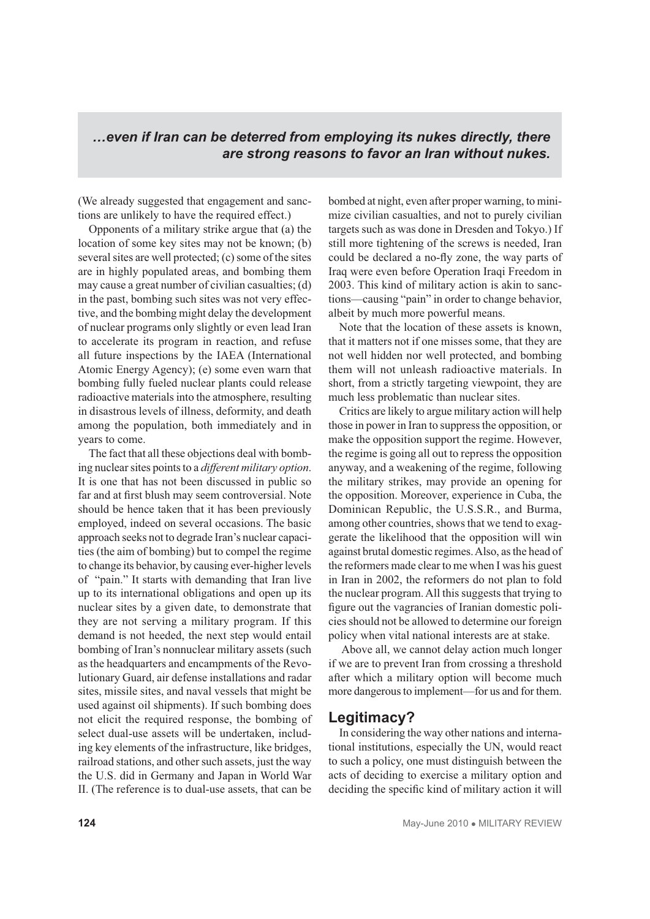# *…even if Iran can be deterred from employing its nukes directly, there are strong reasons to favor an Iran without nukes.*

(We already suggested that engagement and sanctions are unlikely to have the required effect.)

Opponents of a military strike argue that (a) the location of some key sites may not be known; (b) several sites are well protected; (c) some of the sites are in highly populated areas, and bombing them may cause a great number of civilian casualties; (d) in the past, bombing such sites was not very effective, and the bombing might delay the development of nuclear programs only slightly or even lead Iran to accelerate its program in reaction, and refuse all future inspections by the IAEA (International Atomic Energy Agency); (e) some even warn that bombing fully fueled nuclear plants could release radioactive materials into the atmosphere, resulting in disastrous levels of illness, deformity, and death among the population, both immediately and in years to come.

The fact that all these objections deal with bombing nuclear sites points to a *different military option*. It is one that has not been discussed in public so far and at first blush may seem controversial. Note should be hence taken that it has been previously employed, indeed on several occasions. The basic approach seeks not to degrade Iran's nuclear capacities (the aim of bombing) but to compel the regime to change its behavior, by causing ever-higher levels of "pain." It starts with demanding that Iran live up to its international obligations and open up its nuclear sites by a given date, to demonstrate that they are not serving a military program. If this demand is not heeded, the next step would entail bombing of Iran's nonnuclear military assets (such as the headquarters and encampments of the Revolutionary Guard, air defense installations and radar sites, missile sites, and naval vessels that might be used against oil shipments). If such bombing does not elicit the required response, the bombing of select dual-use assets will be undertaken, including key elements of the infrastructure, like bridges, railroad stations, and other such assets, just the way the U.S. did in Germany and Japan in World War II. (The reference is to dual-use assets, that can be

bombed at night, even after proper warning, to minimize civilian casualties, and not to purely civilian targets such as was done in Dresden and Tokyo.) If still more tightening of the screws is needed, Iran could be declared a no-fly zone, the way parts of Iraq were even before Operation Iraqi Freedom in 2003. This kind of military action is akin to sanctions—causing "pain" in order to change behavior, albeit by much more powerful means.

Note that the location of these assets is known, that it matters not if one misses some, that they are not well hidden nor well protected, and bombing them will not unleash radioactive materials. In short, from a strictly targeting viewpoint, they are much less problematic than nuclear sites.

Critics are likely to argue military action will help those in power in Iran to suppress the opposition, or make the opposition support the regime. However, the regime is going all out to repress the opposition anyway, and a weakening of the regime, following the military strikes, may provide an opening for the opposition. Moreover, experience in Cuba, the Dominican Republic, the U.S.S.R., and Burma, among other countries, shows that we tend to exaggerate the likelihood that the opposition will win against brutal domestic regimes. Also, as the head of the reformers made clear to me when I was his guest in Iran in 2002, the reformers do not plan to fold the nuclear program. All this suggests that trying to figure out the vagrancies of Iranian domestic policies should not be allowed to determine our foreign policy when vital national interests are at stake.

 Above all, we cannot delay action much longer if we are to prevent Iran from crossing a threshold after which a military option will become much more dangerous to implement—for us and for them.

# **Legitimacy?**

In considering the way other nations and international institutions, especially the UN, would react to such a policy, one must distinguish between the acts of deciding to exercise a military option and deciding the specific kind of military action it will